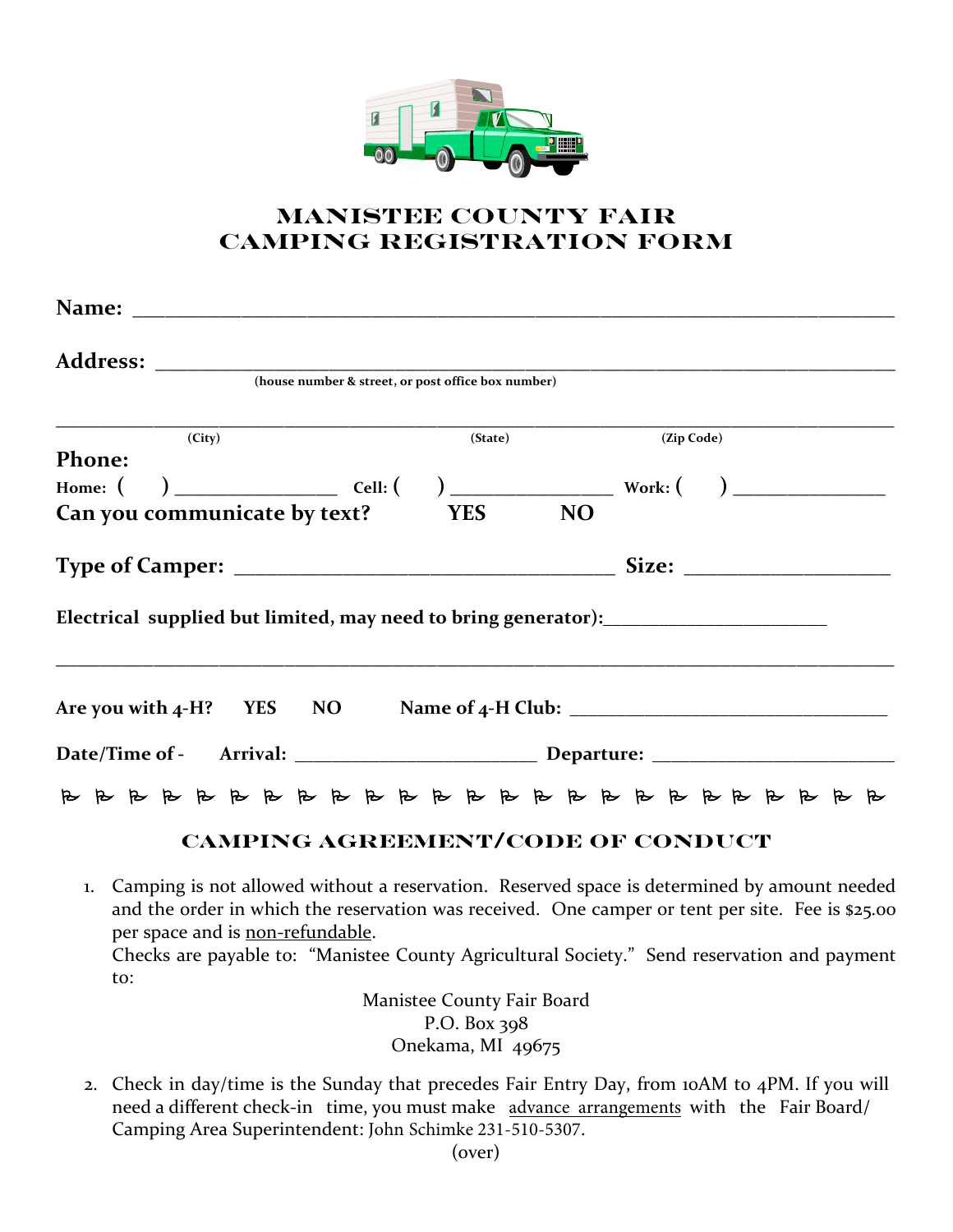

## **MANISTEE COUNTY FAIR CAMPING REGISTRATION FORM**

|                                                                                                                                                                                                                                    | (house number & street, or post office box number) |                    |
|------------------------------------------------------------------------------------------------------------------------------------------------------------------------------------------------------------------------------------|----------------------------------------------------|--------------------|
| (City)                                                                                                                                                                                                                             |                                                    | (State) (Zip Code) |
| <b>Phone:</b>                                                                                                                                                                                                                      |                                                    |                    |
|                                                                                                                                                                                                                                    |                                                    |                    |
| Can you communicate by text? YES                                                                                                                                                                                                   | <b>NO</b>                                          |                    |
|                                                                                                                                                                                                                                    |                                                    |                    |
| Electrical supplied but limited, may need to bring generator): __________________                                                                                                                                                  |                                                    |                    |
|                                                                                                                                                                                                                                    |                                                    |                    |
|                                                                                                                                                                                                                                    |                                                    |                    |
|                                                                                                                                                                                                                                    |                                                    |                    |
| $\mathcal{L}$ . The contract of the contract of the contract of the contract of the contract of the contract of the contract of the contract of the contract of the contract of the contract of the contract of the contract of th |                                                    |                    |

## **CAMPING AGREEMENT/CODE OF CONDUCT**

1. Camping is not allowed without a reservation. Reserved space is determined by amount needed and the order in which the reservation was received. One camper or tent per site. Fee is \$25.00 per space and is non-refundable. Checks are payable to: "Manistee County Agricultural Society." Send reservation and payment to:

Manistee County Fair Board P.O. Box 398 Onekama, MI 49675

2. Check in day/time is the Sunday that precedes Fair Entry Day, from 10AM to 4PM. If you will need a different check-in time, you must make advance arrangements with the Fair Board/ Camping Area Superintendent: John Schimke 231-510-5307.